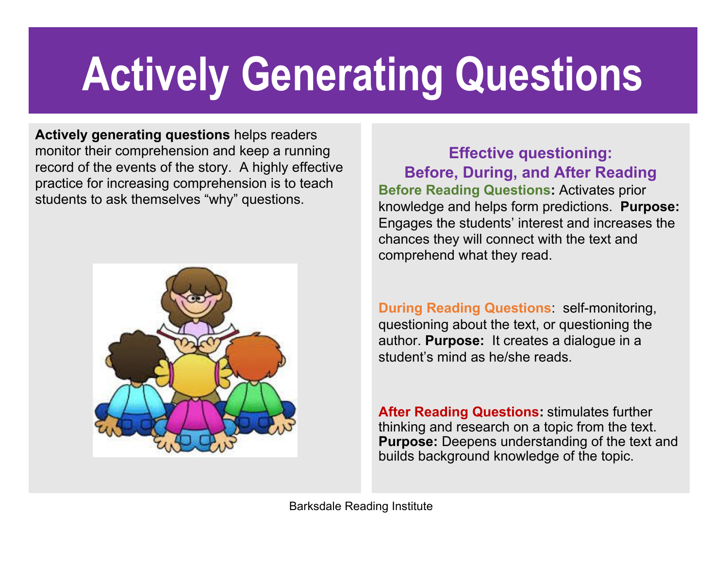## Actively Generating Questions

Actively generating questions helps readers monitor their comprehension and keep a running record of the events of the story. A highly effective practice for increasing comprehension is to teach students to ask themselves "why" questions.



Effective questioning: Before, During, and After Reading Before Reading Questions: Activates prior knowledge and helps form predictions. Purpose: Engages the students' interest and increases the chances they will connect with the text and comprehend what they read.

During Reading Questions: self-monitoring, questioning about the text, or questioning the author. Purpose: It creates a dialogue in a student's mind as he/she reads.

**After Reading Questions: stimulates further** thinking and research on a topic from the text. Purpose: Deepens understanding of the text and builds background knowledge of the topic.